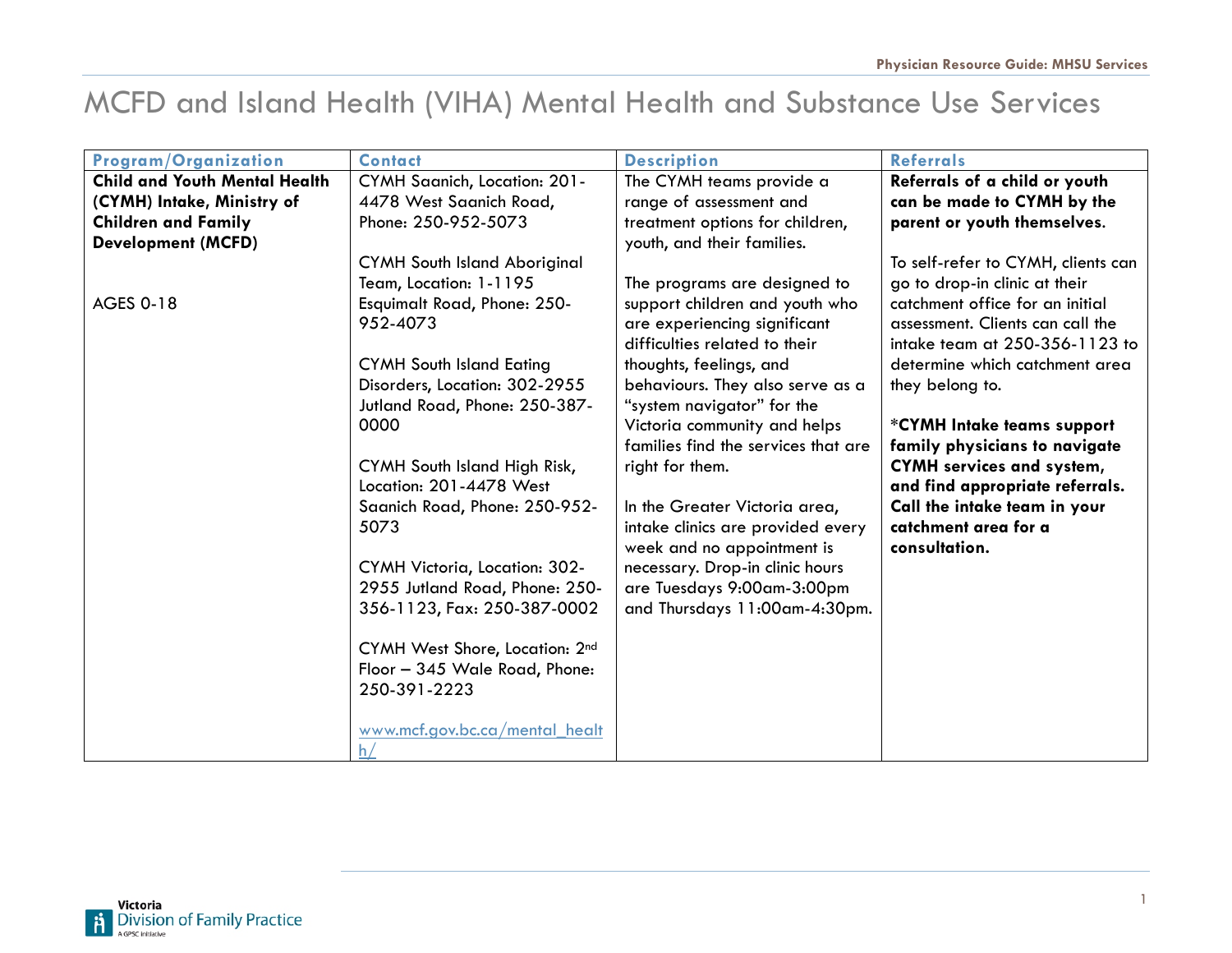## MCFD and Island Health (VIHA) Mental Health and Substance Use Services

| Program/Organization                 | <b>Contact</b>                       | <b>Description</b>                  | <b>Referrals</b>                   |
|--------------------------------------|--------------------------------------|-------------------------------------|------------------------------------|
| <b>Child and Youth Mental Health</b> | CYMH Saanich, Location: 201-         | The CYMH teams provide a            | Referrals of a child or youth      |
| (CYMH) Intake, Ministry of           | 4478 West Saanich Road,              | range of assessment and             | can be made to CYMH by the         |
| <b>Children and Family</b>           | Phone: 250-952-5073                  | treatment options for children,     | parent or youth themselves.        |
| <b>Development (MCFD)</b>            |                                      | youth, and their families.          |                                    |
|                                      | <b>CYMH South Island Aboriginal</b>  |                                     | To self-refer to CYMH, clients can |
|                                      | Team, Location: 1-1195               | The programs are designed to        | go to drop-in clinic at their      |
| <b>AGES 0-18</b>                     | Esquimalt Road, Phone: 250-          | support children and youth who      | catchment office for an initial    |
|                                      | 952-4073                             | are experiencing significant        | assessment. Clients can call the   |
|                                      |                                      | difficulties related to their       | intake team at 250-356-1123 to     |
|                                      | <b>CYMH South Island Eating</b>      | thoughts, feelings, and             | determine which catchment area     |
|                                      | Disorders, Location: 302-2955        | behaviours. They also serve as a    | they belong to.                    |
|                                      | Jutland Road, Phone: 250-387-        | "system navigator" for the          |                                    |
|                                      | 0000                                 | Victoria community and helps        | *CYMH Intake teams support         |
|                                      |                                      | families find the services that are | family physicians to navigate      |
|                                      | CYMH South Island High Risk,         | right for them.                     | <b>CYMH</b> services and system,   |
|                                      | Location: 201-4478 West              |                                     | and find appropriate referrals.    |
|                                      | Saanich Road, Phone: 250-952-        | In the Greater Victoria area,       | Call the intake team in your       |
|                                      | 5073                                 | intake clinics are provided every   | catchment area for a               |
|                                      |                                      | week and no appointment is          | consultation.                      |
|                                      | <b>CYMH Victoria, Location: 302-</b> | necessary. Drop-in clinic hours     |                                    |
|                                      | 2955 Jutland Road, Phone: 250-       | are Tuesdays 9:00am-3:00pm          |                                    |
|                                      | 356-1123, Fax: 250-387-0002          | and Thursdays 11:00am-4:30pm.       |                                    |
|                                      | CYMH West Shore, Location: 2nd       |                                     |                                    |
|                                      | Floor - 345 Wale Road, Phone:        |                                     |                                    |
|                                      | 250-391-2223                         |                                     |                                    |
|                                      |                                      |                                     |                                    |
|                                      | www.mcf.gov.bc.ca/mental_healt       |                                     |                                    |
|                                      | h.                                   |                                     |                                    |

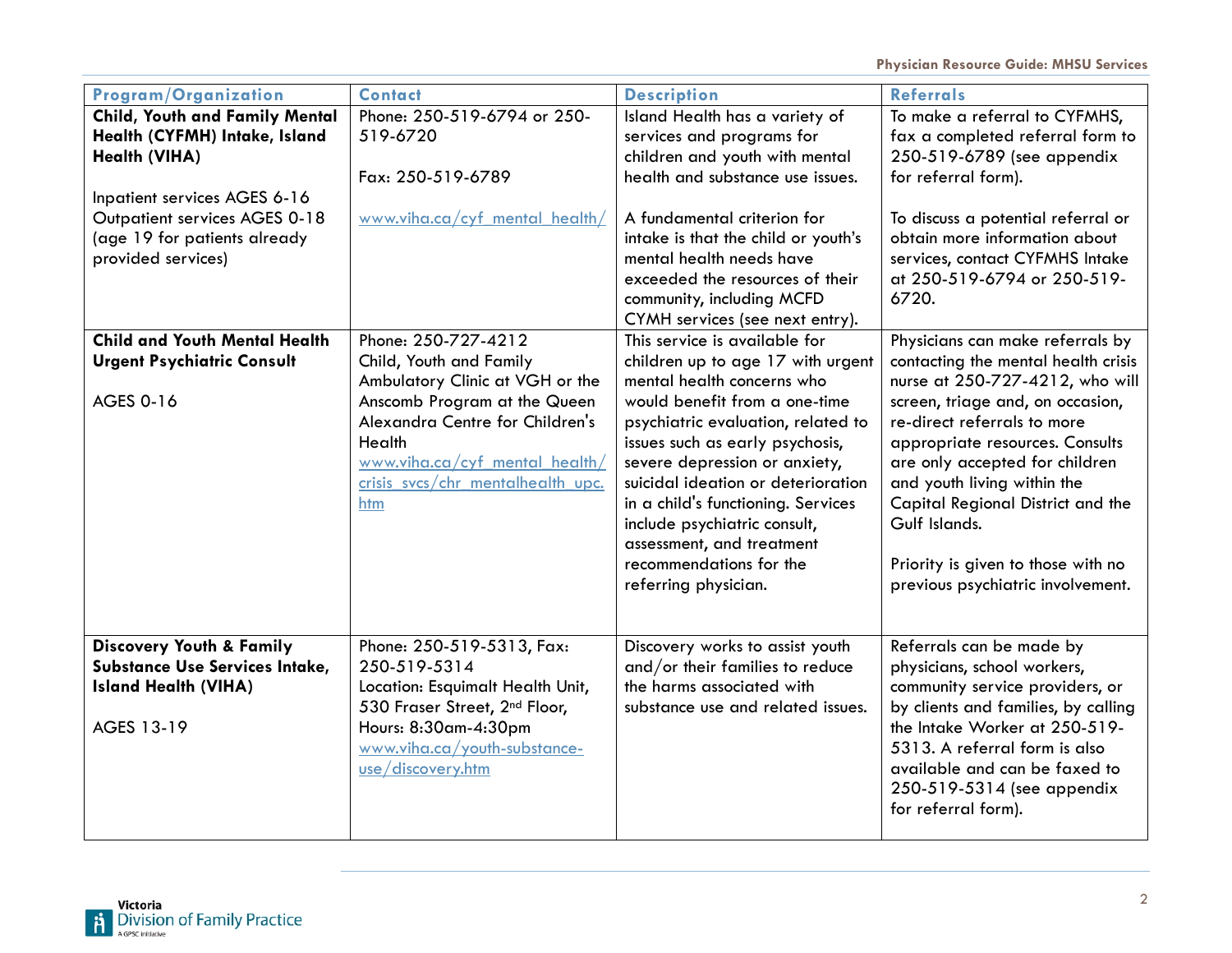| <b>Program/Organization</b>                                                                                                                                                              | <b>Contact</b>                                                                                                                                                                              | <b>Description</b>                                                                                                                                                                                                                                                                                                                  | <b>Referrals</b>                                                                                                                                                                                                                                                                                     |
|------------------------------------------------------------------------------------------------------------------------------------------------------------------------------------------|---------------------------------------------------------------------------------------------------------------------------------------------------------------------------------------------|-------------------------------------------------------------------------------------------------------------------------------------------------------------------------------------------------------------------------------------------------------------------------------------------------------------------------------------|------------------------------------------------------------------------------------------------------------------------------------------------------------------------------------------------------------------------------------------------------------------------------------------------------|
| <b>Child, Youth and Family Mental</b><br>Health (CYFMH) Intake, Island<br>Health (VIHA)<br>Inpatient services AGES 6-16<br>Outpatient services AGES 0-18<br>(age 19 for patients already | Phone: 250-519-6794 or 250-<br>519-6720<br>Fax: 250-519-6789<br>www.viha.ca/cyf mental health/                                                                                              | Island Health has a variety of<br>services and programs for<br>children and youth with mental<br>health and substance use issues.<br>A fundamental criterion for<br>intake is that the child or youth's                                                                                                                             | To make a referral to CYFMHS,<br>fax a completed referral form to<br>250-519-6789 (see appendix<br>for referral form).<br>To discuss a potential referral or<br>obtain more information about                                                                                                        |
| provided services)                                                                                                                                                                       |                                                                                                                                                                                             | mental health needs have<br>exceeded the resources of their<br>community, including MCFD<br>CYMH services (see next entry).                                                                                                                                                                                                         | services, contact CYFMHS Intake<br>at 250-519-6794 or 250-519-<br>6720.                                                                                                                                                                                                                              |
| <b>Child and Youth Mental Health</b><br><b>Urgent Psychiatric Consult</b>                                                                                                                | Phone: 250-727-4212<br>Child, Youth and Family<br>Ambulatory Clinic at VGH or the                                                                                                           | This service is available for<br>children up to age 17 with urgent<br>mental health concerns who                                                                                                                                                                                                                                    | Physicians can make referrals by<br>contacting the mental health crisis<br>nurse at 250-727-4212, who will                                                                                                                                                                                           |
| <b>AGES 0-16</b>                                                                                                                                                                         | Anscomb Program at the Queen<br>Alexandra Centre for Children's<br>Health<br>www.viha.ca/cyf mental health/<br>crisis svcs/chr mentalhealth upc.<br>htm                                     | would benefit from a one-time<br>psychiatric evaluation, related to<br>issues such as early psychosis,<br>severe depression or anxiety,<br>suicidal ideation or deterioration<br>in a child's functioning. Services<br>include psychiatric consult,<br>assessment, and treatment<br>recommendations for the<br>referring physician. | screen, triage and, on occasion,<br>re-direct referrals to more<br>appropriate resources. Consults<br>are only accepted for children<br>and youth living within the<br>Capital Regional District and the<br>Gulf Islands.<br>Priority is given to those with no<br>previous psychiatric involvement. |
| <b>Discovery Youth &amp; Family</b><br>Substance Use Services Intake,<br><b>Island Health (VIHA)</b><br>AGES 13-19                                                                       | Phone: 250-519-5313, Fax:<br>250-519-5314<br>Location: Esquimalt Health Unit,<br>530 Fraser Street, 2nd Floor,<br>Hours: 8:30am-4:30pm<br>www.viha.ca/youth-substance-<br>use/discovery.htm | Discovery works to assist youth<br>and/or their families to reduce<br>the harms associated with<br>substance use and related issues.                                                                                                                                                                                                | Referrals can be made by<br>physicians, school workers,<br>community service providers, or<br>by clients and families, by calling<br>the Intake Worker at 250-519-<br>5313. A referral form is also<br>available and can be faxed to<br>250-519-5314 (see appendix<br>for referral form).            |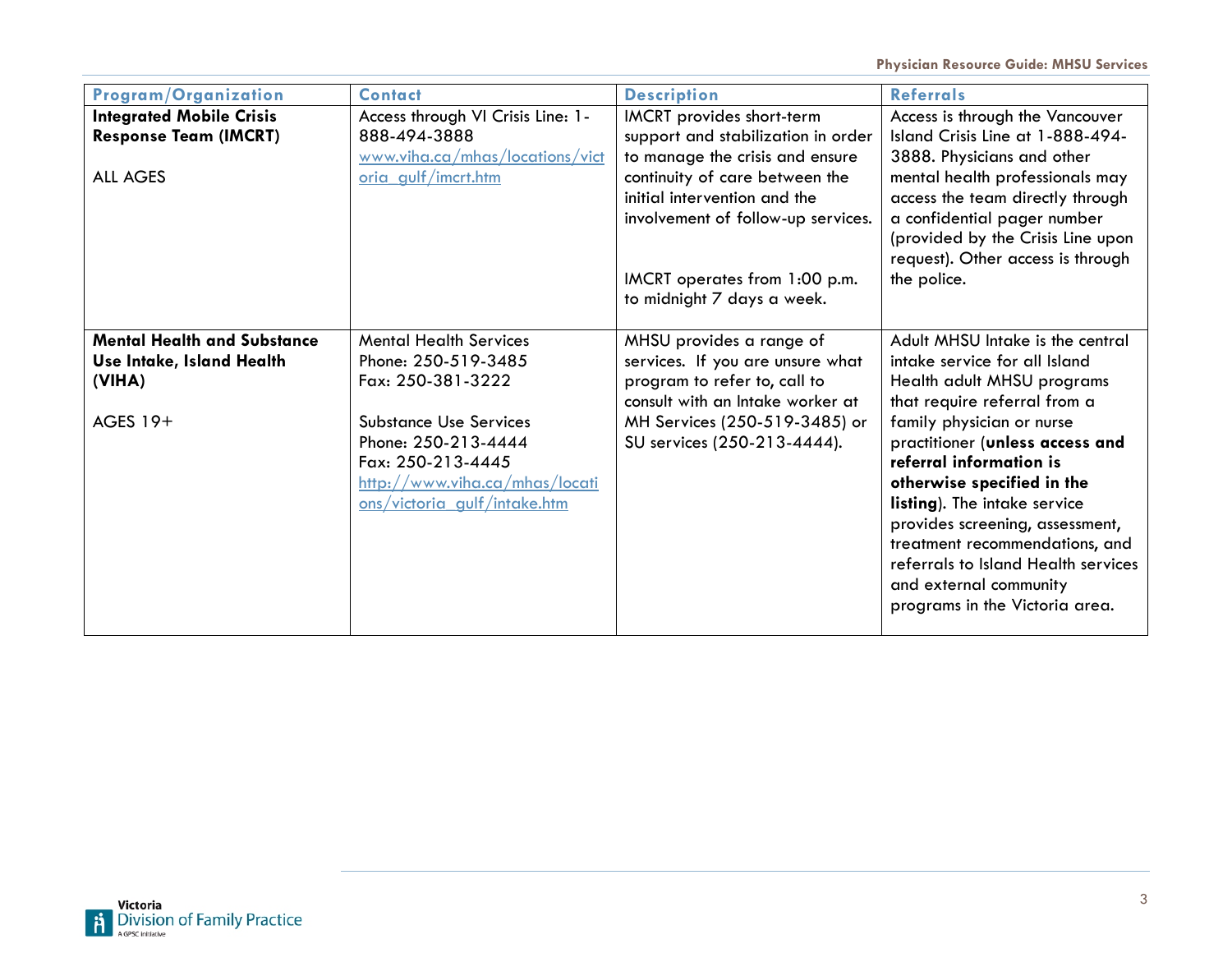| Program/Organization               | <b>Contact</b>                    | <b>Description</b>                 | <b>Referrals</b>                    |
|------------------------------------|-----------------------------------|------------------------------------|-------------------------------------|
| <b>Integrated Mobile Crisis</b>    | Access through VI Crisis Line: 1- | IMCRT provides short-term          | Access is through the Vancouver     |
| <b>Response Team (IMCRT)</b>       | 888-494-3888                      | support and stabilization in order | Island Crisis Line at 1-888-494-    |
|                                    | www.viha.ca/mhas/locations/vict   | to manage the crisis and ensure    | 3888. Physicians and other          |
| <b>ALL AGES</b>                    | oria gulf/imcrt.htm               | continuity of care between the     | mental health professionals may     |
|                                    |                                   | initial intervention and the       | access the team directly through    |
|                                    |                                   | involvement of follow-up services. | a confidential pager number         |
|                                    |                                   |                                    | (provided by the Crisis Line upon   |
|                                    |                                   |                                    | request). Other access is through   |
|                                    |                                   | IMCRT operates from 1:00 p.m.      | the police.                         |
|                                    |                                   | to midnight 7 days a week.         |                                     |
|                                    |                                   |                                    |                                     |
| <b>Mental Health and Substance</b> | <b>Mental Health Services</b>     | MHSU provides a range of           | Adult MHSU Intake is the central    |
| Use Intake, Island Health          | Phone: 250-519-3485               | services. If you are unsure what   | intake service for all Island       |
| (VIHA)                             | Fax: 250-381-3222                 | program to refer to, call to       | Health adult MHSU programs          |
|                                    |                                   | consult with an Intake worker at   | that require referral from a        |
| AGES 19+                           | <b>Substance Use Services</b>     | MH Services (250-519-3485) or      | family physician or nurse           |
|                                    | Phone: 250-213-4444               | SU services (250-213-4444).        | practitioner (unless access and     |
|                                    | Fax: 250-213-4445                 |                                    | referral information is             |
|                                    | http://www.viha.ca/mhas/locati    |                                    | otherwise specified in the          |
|                                    | ons/victoria gulf/intake.htm      |                                    | listing). The intake service        |
|                                    |                                   |                                    | provides screening, assessment,     |
|                                    |                                   |                                    | treatment recommendations, and      |
|                                    |                                   |                                    | referrals to Island Health services |
|                                    |                                   |                                    | and external community              |
|                                    |                                   |                                    | programs in the Victoria area.      |
|                                    |                                   |                                    |                                     |

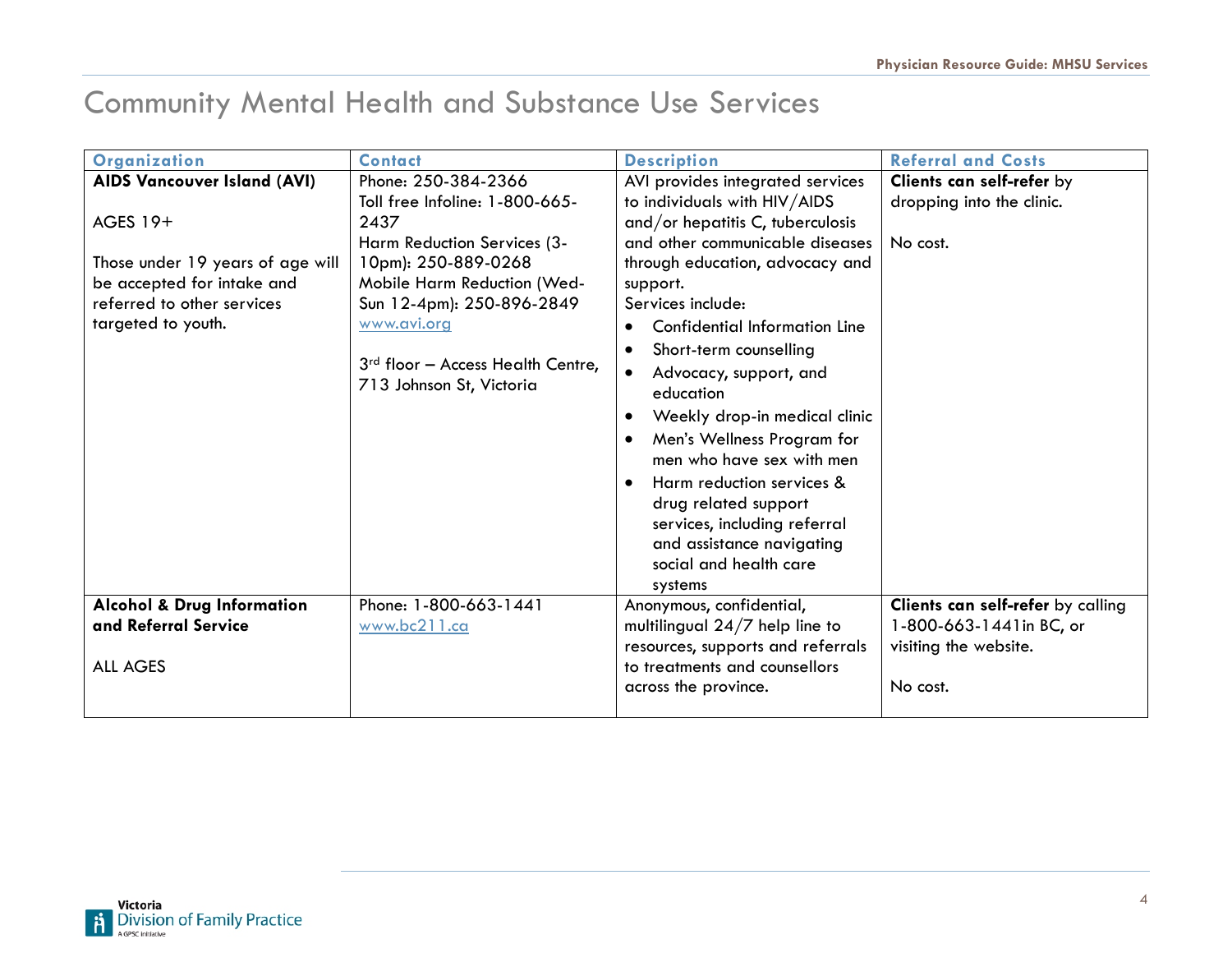## Community Mental Health and Substance Use Services

| Organization                          | <b>Contact</b>                      | <b>Description</b>                         | <b>Referral and Costs</b>         |
|---------------------------------------|-------------------------------------|--------------------------------------------|-----------------------------------|
| <b>AIDS Vancouver Island (AVI)</b>    | Phone: 250-384-2366                 | AVI provides integrated services           | Clients can self-refer by         |
|                                       | Toll free Infoline: 1-800-665-      | to individuals with HIV/AIDS               | dropping into the clinic.         |
| AGES 19+                              | 2437                                | and/or hepatitis C, tuberculosis           |                                   |
|                                       | Harm Reduction Services (3-         | and other communicable diseases            | No cost.                          |
| Those under 19 years of age will      | 10pm): 250-889-0268                 | through education, advocacy and            |                                   |
| be accepted for intake and            | Mobile Harm Reduction (Wed-         | support.                                   |                                   |
| referred to other services            | Sun 12-4pm): 250-896-2849           | Services include:                          |                                   |
| targeted to youth.                    | www.avi.org                         | Confidential Information Line<br>$\bullet$ |                                   |
|                                       |                                     | Short-term counselling<br>$\bullet$        |                                   |
|                                       | $3rd$ floor - Access Health Centre, | Advocacy, support, and<br>$\bullet$        |                                   |
|                                       | 713 Johnson St, Victoria            | education                                  |                                   |
|                                       |                                     | Weekly drop-in medical clinic<br>$\bullet$ |                                   |
|                                       |                                     | Men's Wellness Program for<br>$\bullet$    |                                   |
|                                       |                                     | men who have sex with men                  |                                   |
|                                       |                                     | Harm reduction services &                  |                                   |
|                                       |                                     | drug related support                       |                                   |
|                                       |                                     | services, including referral               |                                   |
|                                       |                                     | and assistance navigating                  |                                   |
|                                       |                                     | social and health care                     |                                   |
|                                       |                                     | systems                                    |                                   |
| <b>Alcohol &amp; Drug Information</b> | Phone: 1-800-663-1441               | Anonymous, confidential,                   | Clients can self-refer by calling |
| and Referral Service                  | www.bc211.ca                        | multilingual $24/7$ help line to           | 1-800-663-1441in BC, or           |
|                                       |                                     | resources, supports and referrals          | visiting the website.             |
| <b>ALL AGES</b>                       |                                     | to treatments and counsellors              |                                   |
|                                       |                                     | across the province.                       | No cost.                          |
|                                       |                                     |                                            |                                   |

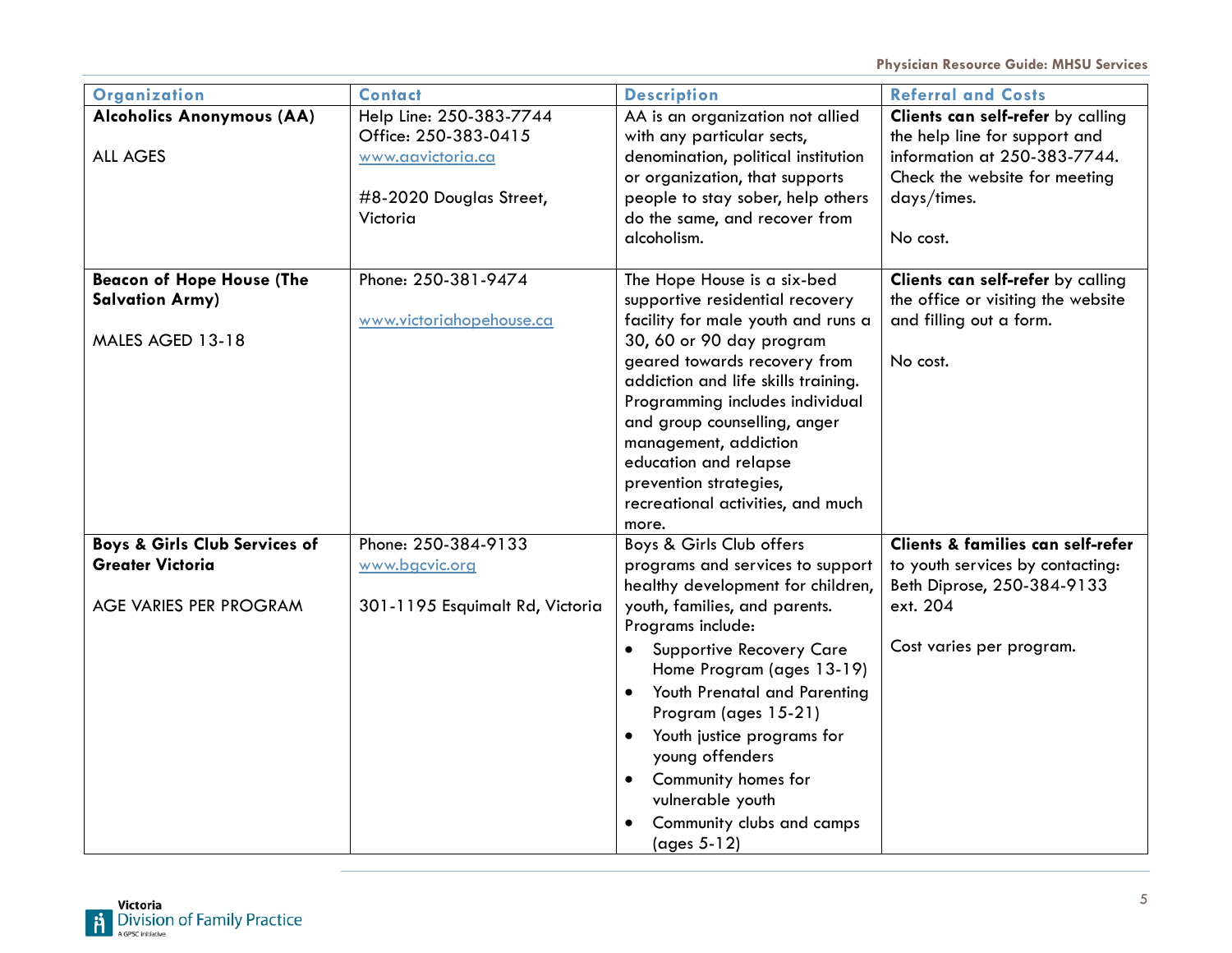| Organization                                                                       | <b>Contact</b>                                                                                              | <b>Description</b>                                                                                                                                                                                                                                                                                                                                                                                                                                  | <b>Referral and Costs</b>                                                                                                                                      |
|------------------------------------------------------------------------------------|-------------------------------------------------------------------------------------------------------------|-----------------------------------------------------------------------------------------------------------------------------------------------------------------------------------------------------------------------------------------------------------------------------------------------------------------------------------------------------------------------------------------------------------------------------------------------------|----------------------------------------------------------------------------------------------------------------------------------------------------------------|
| Alcoholics Anonymous (AA)<br><b>ALL AGES</b>                                       | Help Line: 250-383-7744<br>Office: 250-383-0415<br>www.aavictoria.ca<br>#8-2020 Douglas Street,<br>Victoria | AA is an organization not allied<br>with any particular sects,<br>denomination, political institution<br>or organization, that supports<br>people to stay sober, help others<br>do the same, and recover from<br>alcoholism.                                                                                                                                                                                                                        | Clients can self-refer by calling<br>the help line for support and<br>information at 250-383-7744.<br>Check the website for meeting<br>days/times.<br>No cost. |
| <b>Beacon of Hope House (The</b><br><b>Salvation Army)</b><br>MALES AGED 13-18     | Phone: 250-381-9474<br>www.victoriahopehouse.ca                                                             | The Hope House is a six-bed<br>supportive residential recovery<br>facility for male youth and runs a<br>30, 60 or 90 day program<br>geared towards recovery from<br>addiction and life skills training.<br>Programming includes individual<br>and group counselling, anger<br>management, addiction<br>education and relapse<br>prevention strategies,<br>recreational activities, and much<br>more.                                                | Clients can self-refer by calling<br>the office or visiting the website<br>and filling out a form.<br>No cost.                                                 |
| Boys & Girls Club Services of<br><b>Greater Victoria</b><br>AGE VARIES PER PROGRAM | Phone: 250-384-9133<br>www.bgcvic.org<br>301-1195 Esquimalt Rd, Victoria                                    | Boys & Girls Club offers<br>programs and services to support<br>healthy development for children,<br>youth, families, and parents.<br>Programs include:<br><b>Supportive Recovery Care</b><br>Home Program (ages 13-19)<br>Youth Prenatal and Parenting<br>$\bullet$<br>Program (ages 15-21)<br>Youth justice programs for<br>$\bullet$<br>young offenders<br>Community homes for<br>vulnerable youth<br>Community clubs and camps<br>$(ages 5-12)$ | Clients & families can self-refer<br>to youth services by contacting:<br>Beth Diprose, 250-384-9133<br>ext. 204<br>Cost varies per program.                    |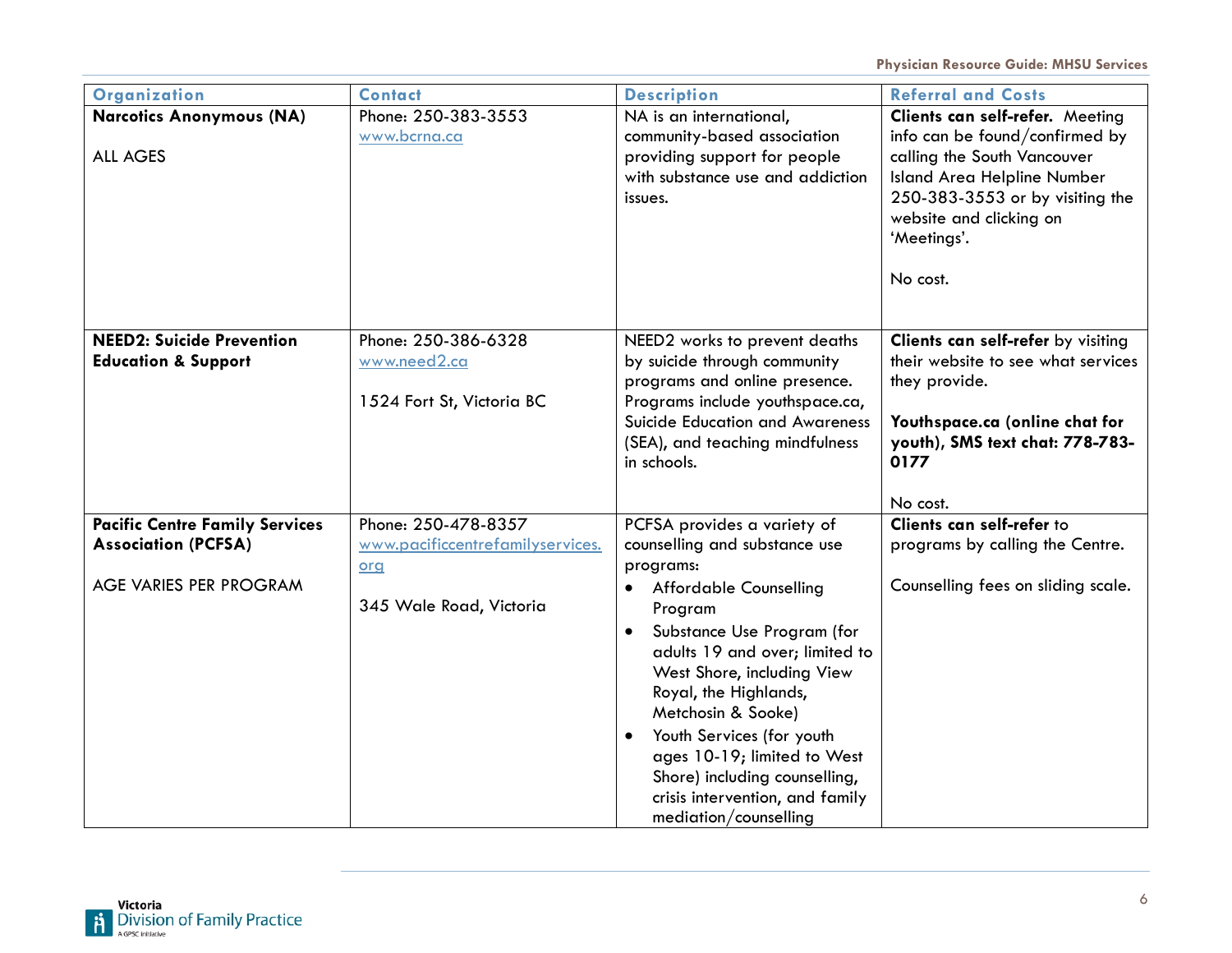| Organization                          | <b>Contact</b>                   | <b>Description</b>                      | <b>Referral and Costs</b>          |
|---------------------------------------|----------------------------------|-----------------------------------------|------------------------------------|
| <b>Narcotics Anonymous (NA)</b>       | Phone: 250-383-3553              | NA is an international,                 | Clients can self-refer. Meeting    |
|                                       | www.bcrna.ca                     | community-based association             | info can be found/confirmed by     |
| <b>ALL AGES</b>                       |                                  | providing support for people            | calling the South Vancouver        |
|                                       |                                  | with substance use and addiction        | Island Area Helpline Number        |
|                                       |                                  | issues.                                 | 250-383-3553 or by visiting the    |
|                                       |                                  |                                         | website and clicking on            |
|                                       |                                  |                                         | 'Meetings'.                        |
|                                       |                                  |                                         |                                    |
|                                       |                                  |                                         | No cost.                           |
|                                       |                                  |                                         |                                    |
|                                       |                                  |                                         |                                    |
| <b>NEED2: Suicide Prevention</b>      | Phone: 250-386-6328              | NEED2 works to prevent deaths           | Clients can self-refer by visiting |
| <b>Education &amp; Support</b>        | www.need2.ca                     | by suicide through community            | their website to see what services |
|                                       |                                  | programs and online presence.           | they provide.                      |
|                                       | 1524 Fort St, Victoria BC        | Programs include youthspace.ca,         |                                    |
|                                       |                                  | Suicide Education and Awareness         | Youthspace.ca (online chat for     |
|                                       |                                  | (SEA), and teaching mindfulness         | youth), SMS text chat: 778-783-    |
|                                       |                                  | in schools.                             | 0177                               |
|                                       |                                  |                                         |                                    |
|                                       |                                  |                                         | No cost.                           |
| <b>Pacific Centre Family Services</b> | Phone: 250-478-8357              | PCFSA provides a variety of             | Clients can self-refer to          |
| <b>Association (PCFSA)</b>            | www.pacificcentrefamilyservices. | counselling and substance use           | programs by calling the Centre.    |
|                                       | org                              | programs:                               |                                    |
| AGE VARIES PER PROGRAM                |                                  | <b>Affordable Counselling</b>           | Counselling fees on sliding scale. |
|                                       | 345 Wale Road, Victoria          | Program                                 |                                    |
|                                       |                                  | Substance Use Program (for<br>$\bullet$ |                                    |
|                                       |                                  | adults 19 and over; limited to          |                                    |
|                                       |                                  | West Shore, including View              |                                    |
|                                       |                                  | Royal, the Highlands,                   |                                    |
|                                       |                                  | Metchosin & Sooke)                      |                                    |
|                                       |                                  | Youth Services (for youth<br>$\bullet$  |                                    |
|                                       |                                  | ages 10-19; limited to West             |                                    |
|                                       |                                  | Shore) including counselling,           |                                    |
|                                       |                                  | crisis intervention, and family         |                                    |
|                                       |                                  | mediation/counselling                   |                                    |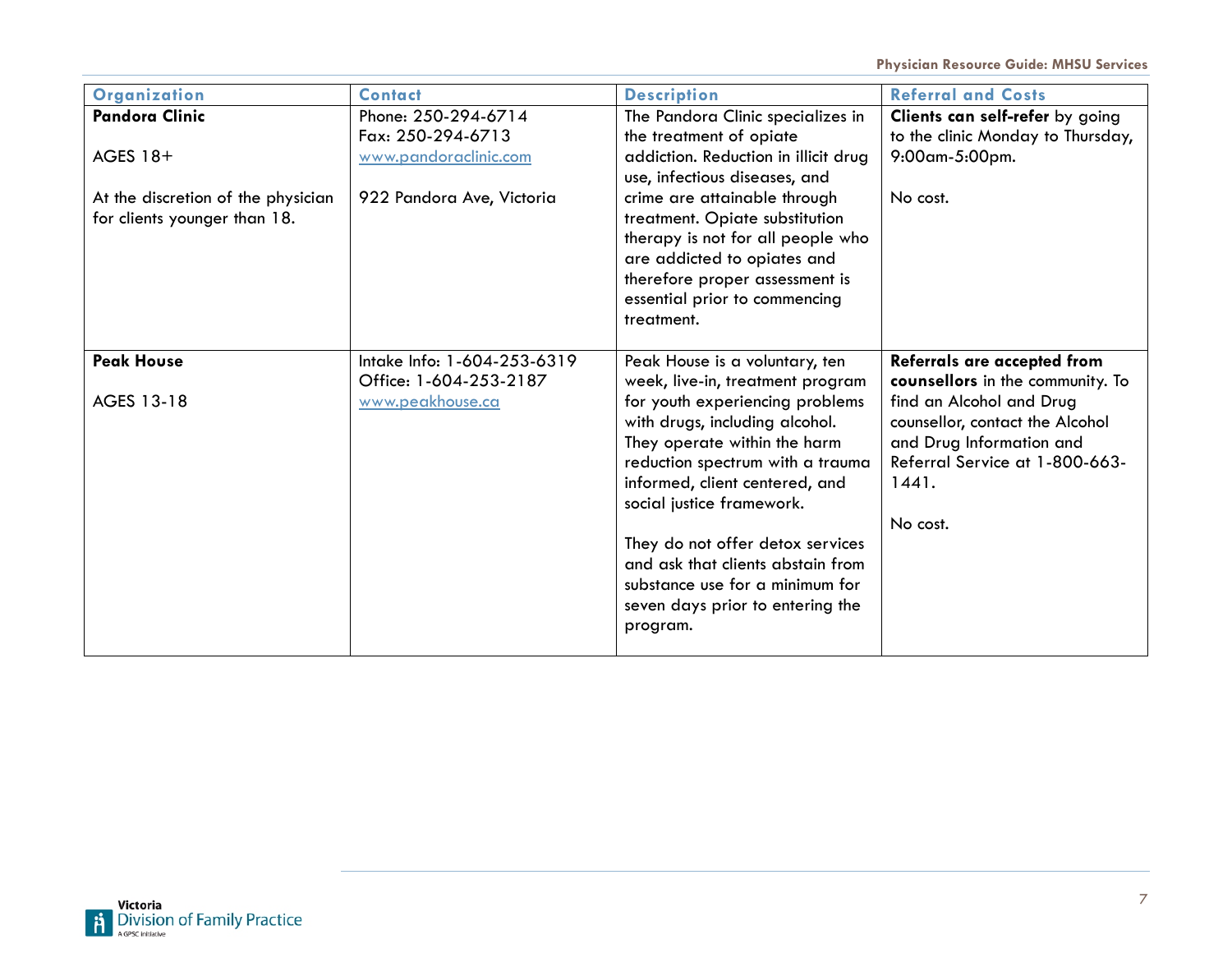| <b>Organization</b>                                                | <b>Contact</b>                                                            | <b>Description</b>                                                                                                                                                                                                                                                                                                                                                                                                                     | <b>Referral and Costs</b>                                                                                                                                                                                         |
|--------------------------------------------------------------------|---------------------------------------------------------------------------|----------------------------------------------------------------------------------------------------------------------------------------------------------------------------------------------------------------------------------------------------------------------------------------------------------------------------------------------------------------------------------------------------------------------------------------|-------------------------------------------------------------------------------------------------------------------------------------------------------------------------------------------------------------------|
| <b>Pandora Clinic</b><br>AGES 18+                                  | Phone: 250-294-6714<br>Fax: 250-294-6713<br>www.pandoraclinic.com         | The Pandora Clinic specializes in<br>the treatment of opiate<br>addiction. Reduction in illicit drug<br>use, infectious diseases, and                                                                                                                                                                                                                                                                                                  | Clients can self-refer by going<br>to the clinic Monday to Thursday,<br>9:00am-5:00pm.                                                                                                                            |
| At the discretion of the physician<br>for clients younger than 18. | 922 Pandora Ave, Victoria                                                 | crime are attainable through<br>treatment. Opiate substitution<br>therapy is not for all people who<br>are addicted to opiates and<br>therefore proper assessment is<br>essential prior to commencing<br>treatment.                                                                                                                                                                                                                    | No cost.                                                                                                                                                                                                          |
| <b>Peak House</b><br>AGES 13-18                                    | Intake Info: 1-604-253-6319<br>Office: 1-604-253-2187<br>www.peakhouse.ca | Peak House is a voluntary, ten<br>week, live-in, treatment program<br>for youth experiencing problems<br>with drugs, including alcohol.<br>They operate within the harm<br>reduction spectrum with a trauma<br>informed, client centered, and<br>social justice framework.<br>They do not offer detox services<br>and ask that clients abstain from<br>substance use for a minimum for<br>seven days prior to entering the<br>program. | Referrals are accepted from<br>counsellors in the community. To<br>find an Alcohol and Drug<br>counsellor, contact the Alcohol<br>and Drug Information and<br>Referral Service at 1-800-663-<br>1441.<br>No cost. |

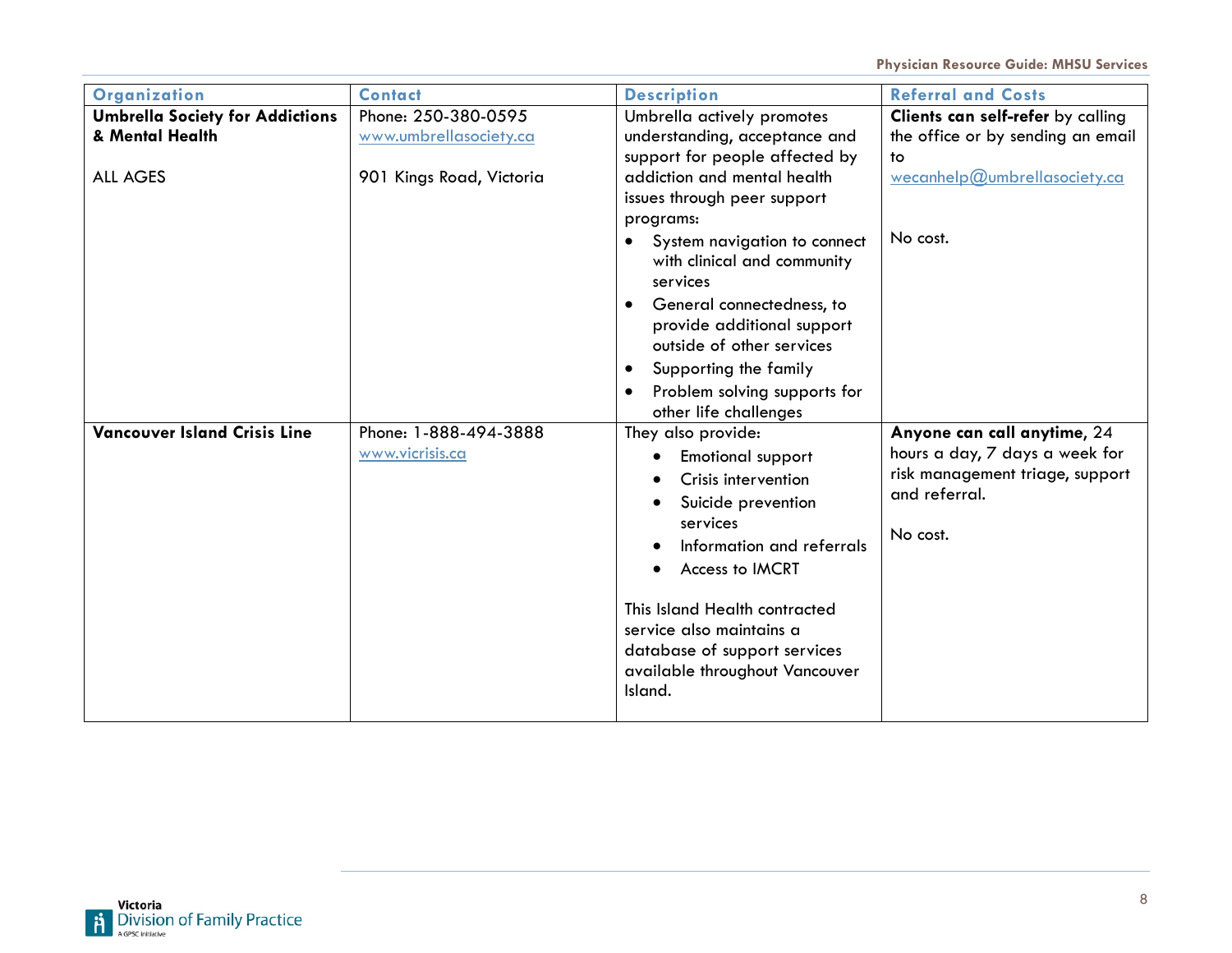| Organization                           | <b>Contact</b>           | <b>Description</b>                                                       | <b>Referral and Costs</b>         |
|----------------------------------------|--------------------------|--------------------------------------------------------------------------|-----------------------------------|
| <b>Umbrella Society for Addictions</b> | Phone: 250-380-0595      | Umbrella actively promotes                                               | Clients can self-refer by calling |
| & Mental Health                        | www.umbrellasociety.ca   | understanding, acceptance and                                            | the office or by sending an email |
|                                        |                          | support for people affected by                                           | to                                |
| <b>ALL AGES</b>                        | 901 Kings Road, Victoria | addiction and mental health                                              | wecanhelp@umbrellasociety.ca      |
|                                        |                          | issues through peer support                                              |                                   |
|                                        |                          | programs:                                                                |                                   |
|                                        |                          | System navigation to connect<br>$\bullet$<br>with clinical and community | No cost.                          |
|                                        |                          | services                                                                 |                                   |
|                                        |                          | General connectedness, to                                                |                                   |
|                                        |                          | provide additional support                                               |                                   |
|                                        |                          | outside of other services                                                |                                   |
|                                        |                          | Supporting the family<br>$\bullet$                                       |                                   |
|                                        |                          | Problem solving supports for<br>$\bullet$                                |                                   |
|                                        |                          | other life challenges                                                    |                                   |
| <b>Vancouver Island Crisis Line</b>    | Phone: 1-888-494-3888    | They also provide:                                                       | Anyone can call anytime, 24       |
|                                        | www.vicrisis.ca          | <b>Emotional support</b>                                                 | hours a day, 7 days a week for    |
|                                        |                          | Crisis intervention                                                      | risk management triage, support   |
|                                        |                          | Suicide prevention                                                       | and referral.                     |
|                                        |                          | services                                                                 | No cost.                          |
|                                        |                          | Information and referrals                                                |                                   |
|                                        |                          | Access to IMCRT                                                          |                                   |
|                                        |                          |                                                                          |                                   |
|                                        |                          | This Island Health contracted                                            |                                   |
|                                        |                          | service also maintains a                                                 |                                   |
|                                        |                          | database of support services                                             |                                   |
|                                        |                          | available throughout Vancouver<br>Island.                                |                                   |
|                                        |                          |                                                                          |                                   |

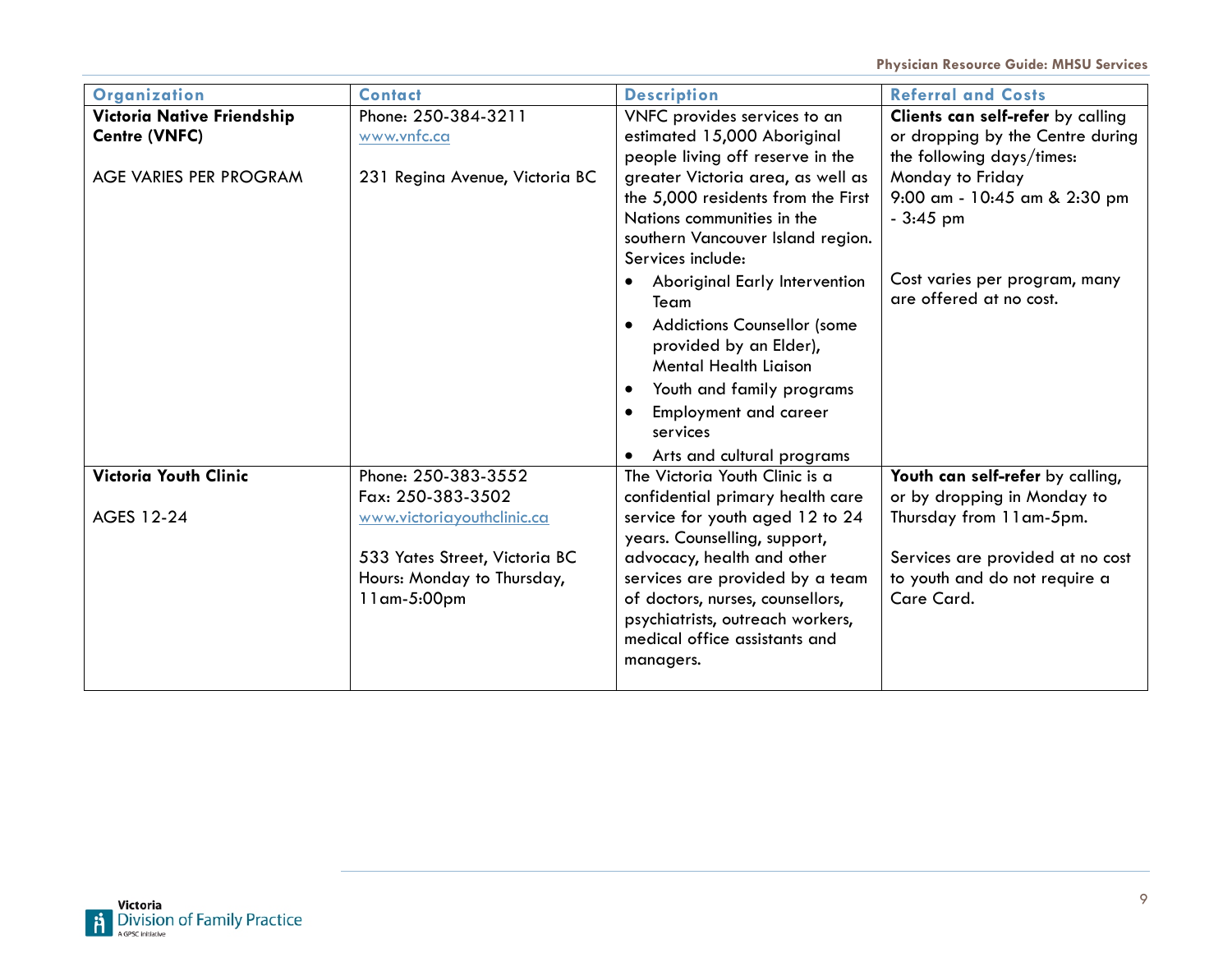| Organization                 | <b>Contact</b>                 | <b>Description</b>                                              | <b>Referral and Costs</b>                                |
|------------------------------|--------------------------------|-----------------------------------------------------------------|----------------------------------------------------------|
| Victoria Native Friendship   | Phone: 250-384-3211            | VNFC provides services to an                                    | Clients can self-refer by calling                        |
| Centre (VNFC)                | www.vnfc.ca                    | estimated 15,000 Aboriginal                                     | or dropping by the Centre during                         |
|                              |                                | people living off reserve in the                                | the following days/times:                                |
| AGE VARIES PER PROGRAM       | 231 Regina Avenue, Victoria BC | greater Victoria area, as well as                               | Monday to Friday                                         |
|                              |                                | the 5,000 residents from the First                              | 9:00 am - 10:45 am & 2:30 pm                             |
|                              |                                | Nations communities in the                                      | $-3:45$ pm                                               |
|                              |                                | southern Vancouver Island region.                               |                                                          |
|                              |                                | Services include:                                               |                                                          |
|                              |                                | <b>Aboriginal Early Intervention</b><br>Team                    | Cost varies per program, many<br>are offered at no cost. |
|                              |                                | <b>Addictions Counsellor (some</b><br>$\bullet$                 |                                                          |
|                              |                                | provided by an Elder),                                          |                                                          |
|                              |                                | <b>Mental Health Liaison</b>                                    |                                                          |
|                              |                                | Youth and family programs<br>$\bullet$                          |                                                          |
|                              |                                | Employment and career                                           |                                                          |
|                              |                                | services                                                        |                                                          |
|                              |                                | Arts and cultural programs                                      |                                                          |
| <b>Victoria Youth Clinic</b> | Phone: 250-383-3552            | The Victoria Youth Clinic is a                                  | Youth can self-refer by calling,                         |
|                              | Fax: 250-383-3502              | confidential primary health care                                | or by dropping in Monday to                              |
| AGES 12-24                   | www.victoriayouthclinic.ca     | service for youth aged 12 to 24<br>years. Counselling, support, | Thursday from 11am-5pm.                                  |
|                              | 533 Yates Street, Victoria BC  | advocacy, health and other                                      | Services are provided at no cost                         |
|                              | Hours: Monday to Thursday,     | services are provided by a team                                 | to youth and do not require a                            |
|                              | $11$ am-5:00pm                 | of doctors, nurses, counsellors,                                | Care Card.                                               |
|                              |                                | psychiatrists, outreach workers,                                |                                                          |
|                              |                                | medical office assistants and                                   |                                                          |
|                              |                                | managers.                                                       |                                                          |
|                              |                                |                                                                 |                                                          |